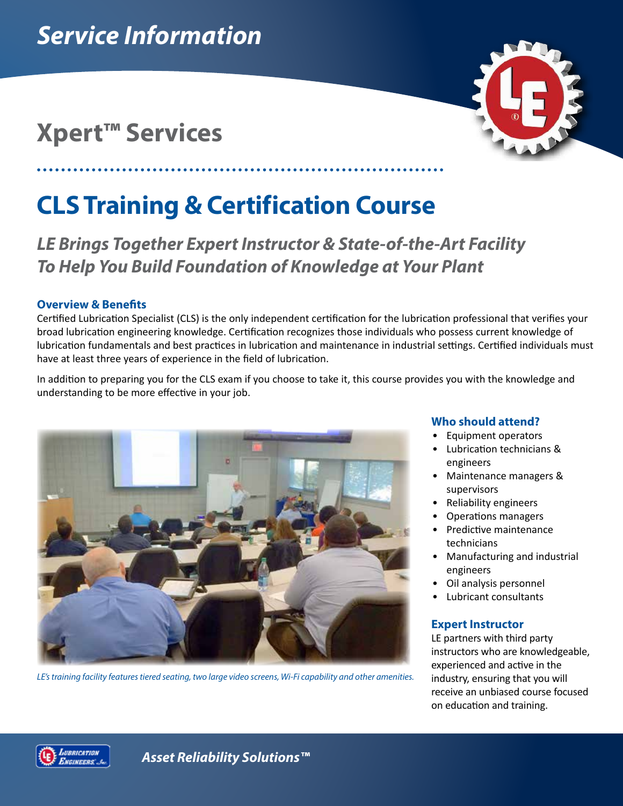# **Xpert™ Services**



# **CLS Training & Certification Course**

*LE Brings Together Expert Instructor & State-of-the-Art Facility To Help You Build Foundation of Knowledge at Your Plant*

# **Overview & Benefits**

Certified Lubrication Specialist (CLS) is the only independent certification for the lubrication professional that verifies your broad lubrication engineering knowledge. Certification recognizes those individuals who possess current knowledge of lubrication fundamentals and best practices in lubrication and maintenance in industrial settings. Certified individuals must have at least three years of experience in the field of lubrication.

In addition to preparing you for the CLS exam if you choose to take it, this course provides you with the knowledge and understanding to be more effective in your job.



*LE's training facility features tiered seating, two large video screens, Wi-Fi capability and other amenities.*

# **Who should attend?**

- Equipment operators
- Lubrication technicians & engineers
- Maintenance managers & supervisors
- Reliability engineers
- Operations managers
- Predictive maintenance technicians
- Manufacturing and industrial engineers
- Oil analysis personnel
- Lubricant consultants

# **Expert Instructor**

LE partners with third party instructors who are knowledgeable, experienced and active in the industry, ensuring that you will receive an unbiased course focused on education and training.